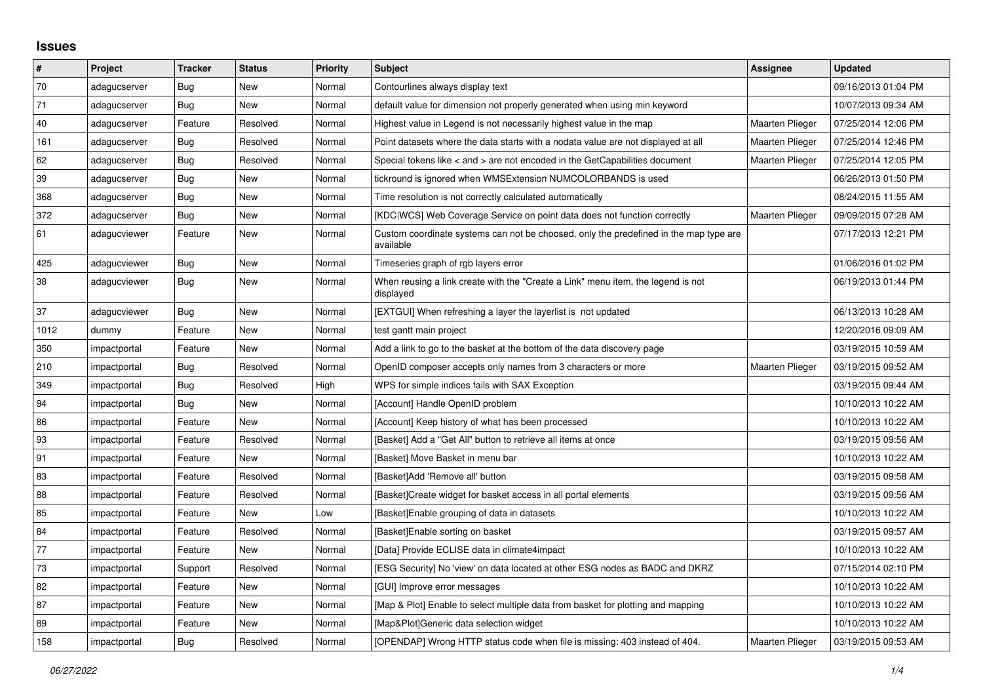## **Issues**

| $\sharp$ | Project      | <b>Tracker</b> | <b>Status</b> | <b>Priority</b> | <b>Subject</b>                                                                                     | Assignee               | <b>Updated</b>      |
|----------|--------------|----------------|---------------|-----------------|----------------------------------------------------------------------------------------------------|------------------------|---------------------|
| $70\,$   | adagucserver | Bug            | New           | Normal          | Contourlines always display text                                                                   |                        | 09/16/2013 01:04 PM |
| 71       | adagucserver | <b>Bug</b>     | <b>New</b>    | Normal          | default value for dimension not properly generated when using min keyword                          |                        | 10/07/2013 09:34 AM |
| 40       | adagucserver | Feature        | Resolved      | Normal          | Highest value in Legend is not necessarily highest value in the map                                | <b>Maarten Plieger</b> | 07/25/2014 12:06 PM |
| 161      | adagucserver | Bug            | Resolved      | Normal          | Point datasets where the data starts with a nodata value are not displayed at all                  | Maarten Plieger        | 07/25/2014 12:46 PM |
| 62       | adagucserver | Bug            | Resolved      | Normal          | Special tokens like < and > are not encoded in the GetCapabilities document                        | Maarten Plieger        | 07/25/2014 12:05 PM |
| 39       | adagucserver | <b>Bug</b>     | <b>New</b>    | Normal          | tickround is ignored when WMSExtension NUMCOLORBANDS is used                                       |                        | 06/26/2013 01:50 PM |
| 368      | adagucserver | Bug            | New           | Normal          | Time resolution is not correctly calculated automatically                                          |                        | 08/24/2015 11:55 AM |
| 372      | adagucserver | <b>Bug</b>     | New           | Normal          | [KDC WCS] Web Coverage Service on point data does not function correctly                           | Maarten Plieger        | 09/09/2015 07:28 AM |
| 61       | adagucviewer | Feature        | New           | Normal          | Custom coordinate systems can not be choosed, only the predefined in the map type are<br>available |                        | 07/17/2013 12:21 PM |
| 425      | adagucviewer | Bug            | New           | Normal          | Timeseries graph of rgb layers error                                                               |                        | 01/06/2016 01:02 PM |
| 38       | adagucviewer | Bug            | New           | Normal          | When reusing a link create with the "Create a Link" menu item, the legend is not<br>displayed      |                        | 06/19/2013 01:44 PM |
| 37       | adagucviewer | Bug            | <b>New</b>    | Normal          | [EXTGUI] When refreshing a layer the layerlist is not updated                                      |                        | 06/13/2013 10:28 AM |
| 1012     | dummy        | Feature        | New           | Normal          | test gantt main project                                                                            |                        | 12/20/2016 09:09 AM |
| 350      | impactportal | Feature        | New           | Normal          | Add a link to go to the basket at the bottom of the data discovery page                            |                        | 03/19/2015 10:59 AM |
| 210      | impactportal | Bug            | Resolved      | Normal          | OpenID composer accepts only names from 3 characters or more                                       | Maarten Plieger        | 03/19/2015 09:52 AM |
| 349      | impactportal | <b>Bug</b>     | Resolved      | High            | WPS for simple indices fails with SAX Exception                                                    |                        | 03/19/2015 09:44 AM |
| 94       | impactportal | Bug            | New           | Normal          | [Account] Handle OpenID problem                                                                    |                        | 10/10/2013 10:22 AM |
| 86       | impactportal | Feature        | New           | Normal          | [Account] Keep history of what has been processed                                                  |                        | 10/10/2013 10:22 AM |
| 93       | impactportal | Feature        | Resolved      | Normal          | [Basket] Add a "Get All" button to retrieve all items at once                                      |                        | 03/19/2015 09:56 AM |
| 91       | impactportal | Feature        | <b>New</b>    | Normal          | [Basket] Move Basket in menu bar                                                                   |                        | 10/10/2013 10:22 AM |
| 83       | impactportal | Feature        | Resolved      | Normal          | [Basket]Add 'Remove all' button                                                                    |                        | 03/19/2015 09:58 AM |
| 88       | impactportal | Feature        | Resolved      | Normal          | [Basket]Create widget for basket access in all portal elements                                     |                        | 03/19/2015 09:56 AM |
| 85       | impactportal | Feature        | New           | Low             | [Basket]Enable grouping of data in datasets                                                        |                        | 10/10/2013 10:22 AM |
| 84       | impactportal | Feature        | Resolved      | Normal          | [Basket]Enable sorting on basket                                                                   |                        | 03/19/2015 09:57 AM |
| 77       | impactportal | Feature        | New           | Normal          | [Data] Provide ECLISE data in climate4impact                                                       |                        | 10/10/2013 10:22 AM |
| 73       | impactportal | Support        | Resolved      | Normal          | [ESG Security] No 'view' on data located at other ESG nodes as BADC and DKRZ                       |                        | 07/15/2014 02:10 PM |
| 82       | impactportal | Feature        | New           | Normal          | [GUI] Improve error messages                                                                       |                        | 10/10/2013 10:22 AM |
| 87       | impactportal | Feature        | New           | Normal          | [Map & Plot] Enable to select multiple data from basket for plotting and mapping                   |                        | 10/10/2013 10:22 AM |
| 89       | impactportal | Feature        | <b>New</b>    | Normal          | [Map&Plot]Generic data selection widget                                                            |                        | 10/10/2013 10:22 AM |
| 158      | impactportal | <b>Bug</b>     | Resolved      | Normal          | [OPENDAP] Wrong HTTP status code when file is missing: 403 instead of 404.                         | Maarten Plieger        | 03/19/2015 09:53 AM |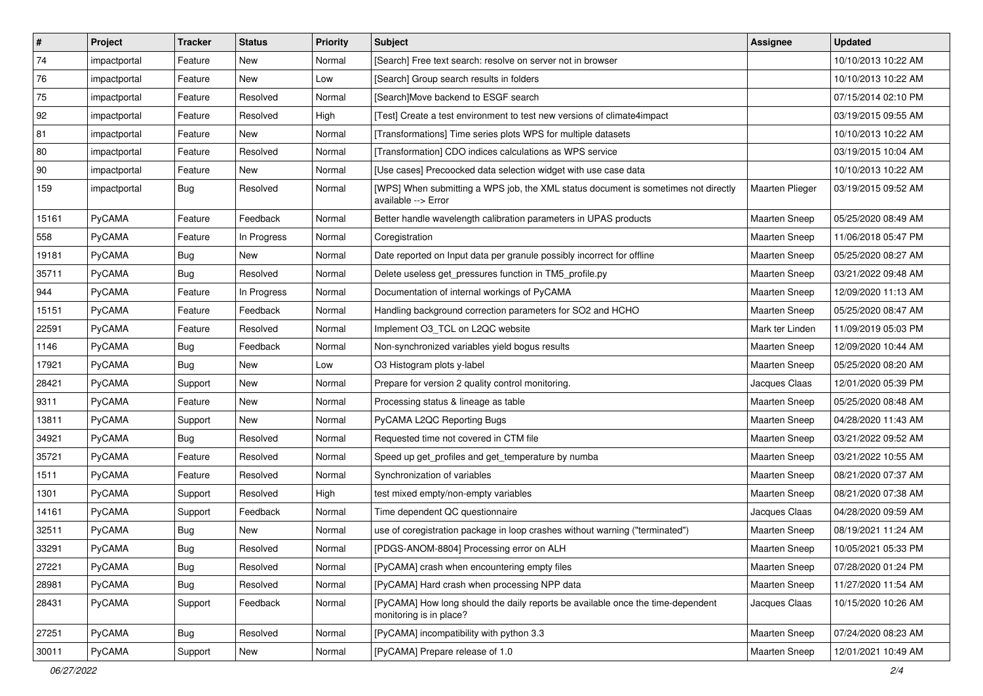| $\vert$ #    | Project       | <b>Tracker</b> | <b>Status</b> | <b>Priority</b> | <b>Subject</b>                                                                                             | Assignee             | <b>Updated</b>      |
|--------------|---------------|----------------|---------------|-----------------|------------------------------------------------------------------------------------------------------------|----------------------|---------------------|
| 74           | impactportal  | Feature        | New           | Normal          | [Search] Free text search: resolve on server not in browser                                                |                      | 10/10/2013 10:22 AM |
| 76           | impactportal  | Feature        | <b>New</b>    | Low             | [Search] Group search results in folders                                                                   |                      | 10/10/2013 10:22 AM |
| 75           | impactportal  | Feature        | Resolved      | Normal          | [Search]Move backend to ESGF search                                                                        |                      | 07/15/2014 02:10 PM |
| 92           | impactportal  | Feature        | Resolved      | High            | [Test] Create a test environment to test new versions of climate4impact                                    |                      | 03/19/2015 09:55 AM |
| 81           | impactportal  | Feature        | <b>New</b>    | Normal          | [Transformations] Time series plots WPS for multiple datasets                                              |                      | 10/10/2013 10:22 AM |
| 80           | impactportal  | Feature        | Resolved      | Normal          | [Transformation] CDO indices calculations as WPS service                                                   |                      | 03/19/2015 10:04 AM |
| $ 90\rangle$ | impactportal  | Feature        | <b>New</b>    | Normal          | [Use cases] Precoocked data selection widget with use case data                                            |                      | 10/10/2013 10:22 AM |
| 159          | impactportal  | Bug            | Resolved      | Normal          | [WPS] When submitting a WPS job, the XML status document is sometimes not directly<br>available --> Error  | Maarten Plieger      | 03/19/2015 09:52 AM |
| 15161        | PyCAMA        | Feature        | Feedback      | Normal          | Better handle wavelength calibration parameters in UPAS products                                           | <b>Maarten Sneep</b> | 05/25/2020 08:49 AM |
| 558          | PyCAMA        | Feature        | In Progress   | Normal          | Coregistration                                                                                             | <b>Maarten Sneep</b> | 11/06/2018 05:47 PM |
| 19181        | PyCAMA        | <b>Bug</b>     | New           | Normal          | Date reported on Input data per granule possibly incorrect for offline                                     | <b>Maarten Sneep</b> | 05/25/2020 08:27 AM |
| 35711        | PyCAMA        | Bug            | Resolved      | Normal          | Delete useless get_pressures function in TM5_profile.py                                                    | <b>Maarten Sneep</b> | 03/21/2022 09:48 AM |
| 944          | PyCAMA        | Feature        | In Progress   | Normal          | Documentation of internal workings of PyCAMA                                                               | <b>Maarten Sneep</b> | 12/09/2020 11:13 AM |
| 15151        | PyCAMA        | Feature        | Feedback      | Normal          | Handling background correction parameters for SO2 and HCHO                                                 | Maarten Sneep        | 05/25/2020 08:47 AM |
| 22591        | <b>PyCAMA</b> | Feature        | Resolved      | Normal          | Implement O3_TCL on L2QC website                                                                           | Mark ter Linden      | 11/09/2019 05:03 PM |
| 1146         | PyCAMA        | <b>Bug</b>     | Feedback      | Normal          | Non-synchronized variables yield bogus results                                                             | <b>Maarten Sneep</b> | 12/09/2020 10:44 AM |
| 17921        | PyCAMA        | <b>Bug</b>     | New           | Low             | O3 Histogram plots y-label                                                                                 | Maarten Sneep        | 05/25/2020 08:20 AM |
| 28421        | PyCAMA        | Support        | New           | Normal          | Prepare for version 2 quality control monitoring.                                                          | Jacques Claas        | 12/01/2020 05:39 PM |
| 9311         | PyCAMA        | Feature        | <b>New</b>    | Normal          | Processing status & lineage as table                                                                       | Maarten Sneep        | 05/25/2020 08:48 AM |
| 13811        | PyCAMA        | Support        | New           | Normal          | PyCAMA L2QC Reporting Bugs                                                                                 | Maarten Sneep        | 04/28/2020 11:43 AM |
| 34921        | PyCAMA        | <b>Bug</b>     | Resolved      | Normal          | Requested time not covered in CTM file                                                                     | Maarten Sneep        | 03/21/2022 09:52 AM |
| 35721        | PyCAMA        | Feature        | Resolved      | Normal          | Speed up get_profiles and get_temperature by numba                                                         | <b>Maarten Sneep</b> | 03/21/2022 10:55 AM |
| 1511         | PyCAMA        | Feature        | Resolved      | Normal          | Synchronization of variables                                                                               | <b>Maarten Sneep</b> | 08/21/2020 07:37 AM |
| 1301         | PyCAMA        | Support        | Resolved      | High            | test mixed empty/non-empty variables                                                                       | <b>Maarten Sneep</b> | 08/21/2020 07:38 AM |
| 14161        | PyCAMA        | Support        | Feedback      | Normal          | Time dependent QC questionnaire                                                                            | Jacques Claas        | 04/28/2020 09:59 AM |
| 32511        | PyCAMA        | <b>Bug</b>     | New           | Normal          | use of coregistration package in loop crashes without warning ("terminated")                               | Maarten Sneep        | 08/19/2021 11:24 AM |
| 33291        | PyCAMA        | Bug            | Resolved      | Normal          | [PDGS-ANOM-8804] Processing error on ALH                                                                   | <b>Maarten Sneep</b> | 10/05/2021 05:33 PM |
| 27221        | PyCAMA        | <b>Bug</b>     | Resolved      | Normal          | [PyCAMA] crash when encountering empty files                                                               | Maarten Sneep        | 07/28/2020 01:24 PM |
| 28981        | PyCAMA        | Bug            | Resolved      | Normal          | [PyCAMA] Hard crash when processing NPP data                                                               | Maarten Sneep        | 11/27/2020 11:54 AM |
| 28431        | PyCAMA        | Support        | Feedback      | Normal          | [PyCAMA] How long should the daily reports be available once the time-dependent<br>monitoring is in place? | Jacques Claas        | 10/15/2020 10:26 AM |
| 27251        | PyCAMA        | Bug            | Resolved      | Normal          | [PyCAMA] incompatibility with python 3.3                                                                   | Maarten Sneep        | 07/24/2020 08:23 AM |
| 30011        | PyCAMA        | Support        | New           | Normal          | [PyCAMA] Prepare release of 1.0                                                                            | Maarten Sneep        | 12/01/2021 10:49 AM |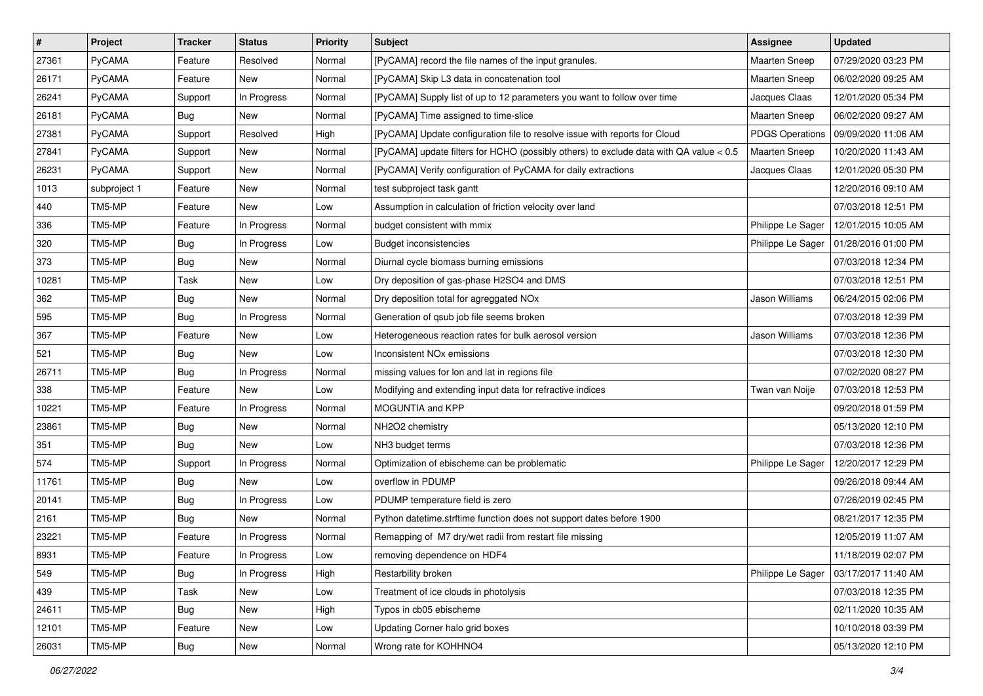| $\sharp$ | Project       | <b>Tracker</b> | <b>Status</b> | <b>Priority</b> | <b>Subject</b>                                                                         | Assignee               | <b>Updated</b>                          |
|----------|---------------|----------------|---------------|-----------------|----------------------------------------------------------------------------------------|------------------------|-----------------------------------------|
| 27361    | <b>PyCAMA</b> | Feature        | Resolved      | Normal          | [PyCAMA] record the file names of the input granules.                                  | <b>Maarten Sneep</b>   | 07/29/2020 03:23 PM                     |
| 26171    | PyCAMA        | Feature        | <b>New</b>    | Normal          | [PyCAMA] Skip L3 data in concatenation tool                                            | <b>Maarten Sneep</b>   | 06/02/2020 09:25 AM                     |
| 26241    | <b>PyCAMA</b> | Support        | In Progress   | Normal          | [PyCAMA] Supply list of up to 12 parameters you want to follow over time               | Jacques Claas          | 12/01/2020 05:34 PM                     |
| 26181    | PyCAMA        | Bug            | New           | Normal          | [PyCAMA] Time assigned to time-slice                                                   | <b>Maarten Sneep</b>   | 06/02/2020 09:27 AM                     |
| 27381    | PyCAMA        | Support        | Resolved      | High            | [PyCAMA] Update configuration file to resolve issue with reports for Cloud             | <b>PDGS Operations</b> | 09/09/2020 11:06 AM                     |
| 27841    | <b>PyCAMA</b> | Support        | New           | Normal          | [PyCAMA] update filters for HCHO (possibly others) to exclude data with QA value < 0.5 | <b>Maarten Sneep</b>   | 10/20/2020 11:43 AM                     |
| 26231    | <b>PyCAMA</b> | Support        | New           | Normal          | [PyCAMA] Verify configuration of PyCAMA for daily extractions                          | Jacques Claas          | 12/01/2020 05:30 PM                     |
| 1013     | subproject 1  | Feature        | New           | Normal          | test subproject task gantt                                                             |                        | 12/20/2016 09:10 AM                     |
| 440      | TM5-MP        | Feature        | New           | Low             | Assumption in calculation of friction velocity over land                               |                        | 07/03/2018 12:51 PM                     |
| 336      | TM5-MP        | Feature        | In Progress   | Normal          | budget consistent with mmix                                                            | Philippe Le Sager      | 12/01/2015 10:05 AM                     |
| 320      | TM5-MP        | <b>Bug</b>     | In Progress   | Low             | <b>Budget inconsistencies</b>                                                          | Philippe Le Sager      | 01/28/2016 01:00 PM                     |
| 373      | TM5-MP        | Bug            | New           | Normal          | Diurnal cycle biomass burning emissions                                                |                        | 07/03/2018 12:34 PM                     |
| 10281    | TM5-MP        | Task           | New           | Low             | Dry deposition of gas-phase H2SO4 and DMS                                              |                        | 07/03/2018 12:51 PM                     |
| 362      | TM5-MP        | Bug            | New           | Normal          | Dry deposition total for agreggated NOx                                                | Jason Williams         | 06/24/2015 02:06 PM                     |
| 595      | TM5-MP        | <b>Bug</b>     | In Progress   | Normal          | Generation of qsub job file seems broken                                               |                        | 07/03/2018 12:39 PM                     |
| 367      | TM5-MP        | Feature        | New           | Low             | Heterogeneous reaction rates for bulk aerosol version                                  | Jason Williams         | 07/03/2018 12:36 PM                     |
| 521      | TM5-MP        | Bug            | New           | Low             | Inconsistent NO <sub>x</sub> emissions                                                 |                        | 07/03/2018 12:30 PM                     |
| 26711    | TM5-MP        | <b>Bug</b>     | In Progress   | Normal          | missing values for lon and lat in regions file                                         |                        | 07/02/2020 08:27 PM                     |
| 338      | TM5-MP        | Feature        | New           | Low             | Modifying and extending input data for refractive indices                              | Twan van Noije         | 07/03/2018 12:53 PM                     |
| 10221    | TM5-MP        | Feature        | In Progress   | Normal          | MOGUNTIA and KPP                                                                       |                        | 09/20/2018 01:59 PM                     |
| 23861    | TM5-MP        | Bug            | New           | Normal          | NH2O2 chemistry                                                                        |                        | 05/13/2020 12:10 PM                     |
| 351      | TM5-MP        | <b>Bug</b>     | New           | Low             | NH3 budget terms                                                                       |                        | 07/03/2018 12:36 PM                     |
| 574      | TM5-MP        | Support        | In Progress   | Normal          | Optimization of ebischeme can be problematic                                           | Philippe Le Sager      | 12/20/2017 12:29 PM                     |
| 11761    | TM5-MP        | <b>Bug</b>     | New           | Low             | overflow in PDUMP                                                                      |                        | 09/26/2018 09:44 AM                     |
| 20141    | TM5-MP        | Bug            | In Progress   | Low             | PDUMP temperature field is zero                                                        |                        | 07/26/2019 02:45 PM                     |
| 2161     | TM5-MP        | <b>Bug</b>     | <b>New</b>    | Normal          | Python datetime.strftime function does not support dates before 1900                   |                        | 08/21/2017 12:35 PM                     |
| 23221    | TM5-MP        | Feature        | In Progress   | Normal          | Remapping of M7 dry/wet radii from restart file missing                                |                        | 12/05/2019 11:07 AM                     |
| 8931     | TM5-MP        | Feature        | In Progress   | Low             | removing dependence on HDF4                                                            |                        | 11/18/2019 02:07 PM                     |
| 549      | TM5-MP        | Bug            | In Progress   | High            | Restarbility broken                                                                    |                        | Philippe Le Sager   03/17/2017 11:40 AM |
| 439      | TM5-MP        | Task           | New           | Low             | Treatment of ice clouds in photolysis                                                  |                        | 07/03/2018 12:35 PM                     |
| 24611    | TM5-MP        | <b>Bug</b>     | New           | High            | Typos in cb05 ebischeme                                                                |                        | 02/11/2020 10:35 AM                     |
| 12101    | TM5-MP        | Feature        | New           | Low             | Updating Corner halo grid boxes                                                        |                        | 10/10/2018 03:39 PM                     |
| 26031    | TM5-MP        | Bug            | New           | Normal          | Wrong rate for KOHHNO4                                                                 |                        | 05/13/2020 12:10 PM                     |